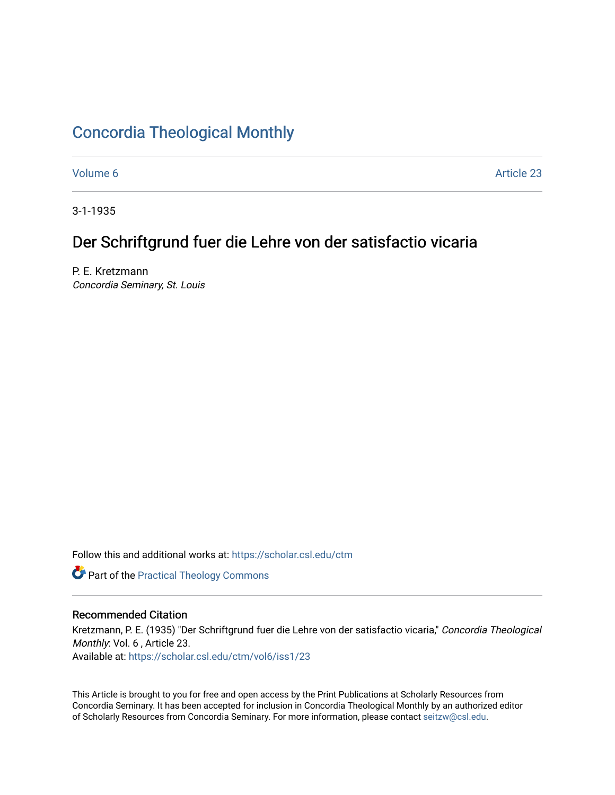# [Concordia Theological Monthly](https://scholar.csl.edu/ctm)

[Volume 6](https://scholar.csl.edu/ctm/vol6) Article 23

3-1-1935

# Der Schriftgrund fuer die Lehre von der satisfactio vicaria

P. E. Kretzmann Concordia Seminary, St. Louis

Follow this and additional works at: [https://scholar.csl.edu/ctm](https://scholar.csl.edu/ctm?utm_source=scholar.csl.edu%2Fctm%2Fvol6%2Fiss1%2F23&utm_medium=PDF&utm_campaign=PDFCoverPages)

**Part of the [Practical Theology Commons](http://network.bepress.com/hgg/discipline/1186?utm_source=scholar.csl.edu%2Fctm%2Fvol6%2Fiss1%2F23&utm_medium=PDF&utm_campaign=PDFCoverPages)** 

## Recommended Citation

Kretzmann, P. E. (1935) "Der Schriftgrund fuer die Lehre von der satisfactio vicaria," Concordia Theological Monthly: Vol. 6 , Article 23.

Available at: [https://scholar.csl.edu/ctm/vol6/iss1/23](https://scholar.csl.edu/ctm/vol6/iss1/23?utm_source=scholar.csl.edu%2Fctm%2Fvol6%2Fiss1%2F23&utm_medium=PDF&utm_campaign=PDFCoverPages)

This Article is brought to you for free and open access by the Print Publications at Scholarly Resources from Concordia Seminary. It has been accepted for inclusion in Concordia Theological Monthly by an authorized editor of Scholarly Resources from Concordia Seminary. For more information, please contact [seitzw@csl.edu](mailto:seitzw@csl.edu).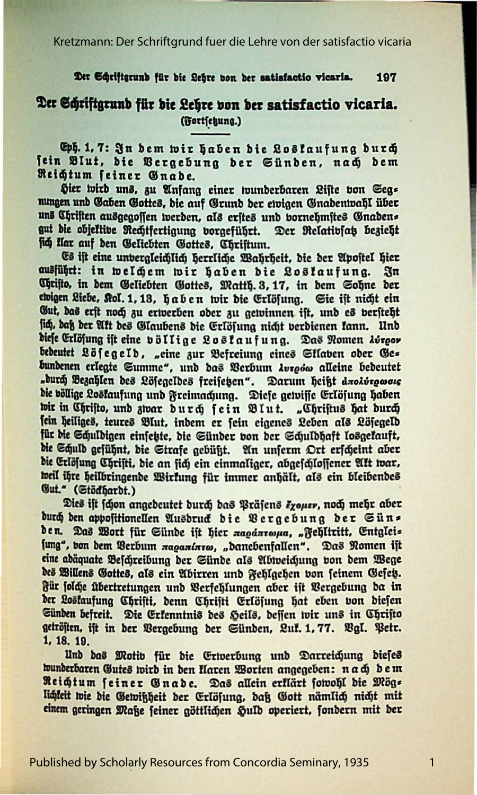Kretzmann: Der Schriftgrund fuer die Lehre von der satisfactio vicaria

#### Der Schriftgrund für die Lehre von der satisfactio vicaria. 197

## Der Scriftgrund für die Lehre von der satisfactio vicaria. (Fortfekung.)

Eph. 1, 7: In dem wir haben die Losłaufung durch fein Blut, die Bergebung der Günden, nach dem Reichtum feiner Gnabe.

Hier wird uns, zu Anfang einer wunderbaren Liste von Segs nungen und Gaben Gottes, die auf Grund der ewigen Gnadenwahl über uns Christen ausgegossen werden, als erstes und vornehmstes Gnadens gut die objektive Rechtfertigung vorgeführt. Der Relativfat bezieht fich Har auf den Geliebten Gottes, Christum.

Es ist eine unbergleichlich herrliche Wahrheit, die der Apostel hier ausführt: in welchem wir haben die Lostaufung. In Chrifto, in dem Geliebten Gottes, Matth. 3, 17, in dem Sohne der ewigen Liebe, Kol. 1, 13, haben wir die Erlösung. Sie ist nicht ein Gut, bas erft noch zu erwerben ober zu gewinnen ist, und es versteht sich, daß der Alt des Glaubens die Erlösung nicht verdienen kann. Und dieje Erlösung ist eine völlige Lostaufung. Das Nomen Aurgor bedeutet Lösegeld, "eine zur Befreiung eines Sklaben oder Ges bundenen erlegte Summe", und das Verbum Avroow alleine bedeutet "durch Bezahlen des Lösegeldes freisehen". Darum heißt anolorowors die böllige Lostaufung und Freimachung. Diese gewisse Erlösung haben wir in Christo, und zwar durch fein Blut. "Christus hat durch fein heiliges, teures Blut, indem er fein eigenes Leben als Löfegeld für die Schuldigen einsetzte, die Sünder von der Schuldhaft losgekauft, die Schuld gefühnt, die Strafe gebüht. Un unserm Ort erscheint aber die Erlösung Christi, die an sich ein einmaliger, abgeschlossener Alt war, weil ihre heilbringende Wirkung für immer anhält, als ein bleibendes Gut." (Stödhardt.)

Dies ift fcon angedeutet durch das Präsens &youer, noch mehr aber durch den appositionellen Ausdruck die Bergebung der Süns den. Das Wort für Sünde ist hier napánropa, "Fehltritt, Entgleis jung", von dem Verbum naganinro, "danebenfallen". Das Nomen ist eine adäquate Beschreibung der Sünde als Abweichung von dem Wege des Willens Gottes, als ein Abirren und Fehlgehen von feinem Gefet. Für folche übertretungen und Verfehlungen aber ist Vergebung da in der Lostaufung Christi, denn Christi Erlösung hat eben von diesen Sünden befreit. Die Erkenntnis des Heils, dessen wir uns in Christo getröften, ift in der Vergebung der Sünden, Lut. 1, 77. Bgl. Petr. 1, 18, 19,

Und das Motiv für die Erwerbung und Darreichung dieses wunderbaren Gutes wird in den Haren Worten angegeben: nach dem Reichtum feiner Gnade. Das allein erklärt fowohl die Mögs lichteit wie die Gewißheit der Erlösung, daß Gott nämlich nicht mit einem geringen Maße feiner göttlichen Suld operiert, fondern mit der

 $\mathbf{1}$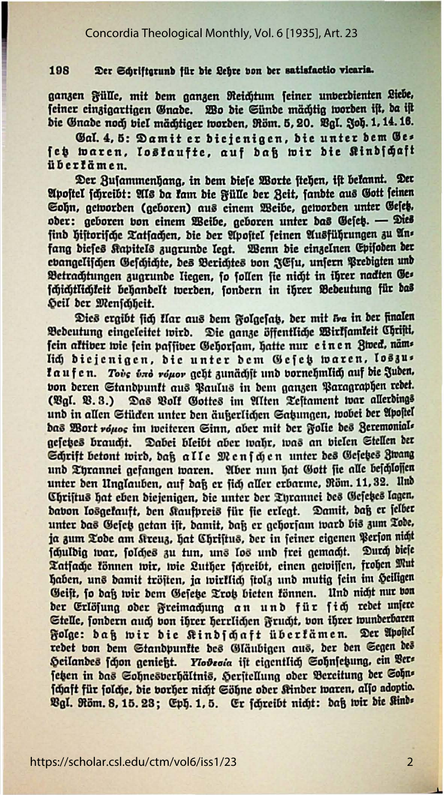### Concordia Theological Monthly, Vol. 6 [1935], Art. 23

#### Der Schriftgrund für die Lehre von der satisfactio vicaria. 198

ganzen Fülle, mit dem ganzen Reichtum feiner unberdienten Liebe, feiner einzigartigen Gnade. Wo die Sünde mächtig worden ist, da ist die Gnade noch viel mächtiger worden. Röm. 5. 20. Bal. Joh. 1, 14. 16.

Gal. 4, 5: Damit er diejenigen, die unter dem Ges fet waren, lostaufte, auf daß wir die Rindschaft übertämen.

Der Busammenhana, in dem diese Worte stehen, ist bekannt. Der Apostel fchreibt: Als da fam die Fülle der Reit, fandte aus Gott feinen Sohn, getvorden (geboren) aus einem Weibe, getvorden unter Gefet. oder: geboren von einem Weibe, geboren unter das Gefet. - Dies find hiftorifche Tatsachen, die der Apostel feinen Ausführungen zu Ans fang diefes Kapitels zugrunde legt. Wenn die einzelnen Episoden der evangelischen Geschichte, des Berichtes von JEfu, unfern Predigten und Betrachtungen zugrunde liegen, fo follen fie nicht in ihrer nadten Ges fchichtlichkeit behandelt werden, sondern in ihrer Bedeutung für das Seil ber Menichheit.

Dies ergibt fich flar aus dem Folgefat, der mit iva in der finalen Bedeutung eingeleitet wird. Die ganze öffentliche Wirksamkeit Christi, fein aktiver wie fein paffiver Gehorfam, hatte nur einen Zwed, näms lich diejenigen, die unter dem Gefet waren, Ioszus laufen. Tous und rouor geht zunächst und vornehmlich auf die Juden. von deren Standpunkt aus Paulus in dem ganzen Paragraphen redet. Das Volk Gottes im Alten Testament war allerdings und in allen Stüden unter den äußerlichen Satzungen, wobei der Apostel das Wort rouos im weiteren Sinn, aber mit der Folie des Zeremonials gesetges braucht. Dabei bleibt aber wahr, was an vielen Stellen der Schrift betont wird, daß alle Menschen unter des Gesetzes Zwang und Tyrannei gefangen waren. Aber nun hat Gott fie alle beschlossen unter den Unglauben, auf daß er fich aller erbarme, Röm. 11, 32. Und Christus hat eben diejenigen, die unter der Thrannei des Gesetzes lagen, davon losgekauft, den Kaufpreis für sie erlegt. Damit, daß er felber unter das Gesetz getan ist, damit, daß er gehorsam ward bis zum Tode, ja zum Tode am Kreuz, hat Christus, der in seiner eigenen Person nicht fculbig war, folches zu tun, uns los und frei gemacht. Durch dieje Tatsache können wir, wie Luther schreibt, einen gewissen, frohen Mut haben, uns damit tröften, ja wirklich ftolg und mutig fein im Heiligen Geist, so daß wir dem Gesetze Trot bieten können. Und nicht nur von der Erlösung oder Freimachung an und für fich redet unfere Stelle, fondern auch von ihrer herrlichen Frucht, von ihrer wunderbaren Folge: daß wir die Kindschaft überkämen. Der Apostel redet von dem Standpunkte des Gläubigen aus, der den Segen des Heilandes fchon genießt. Viodeoia ist eigentlich Sohnfetzung, ein Bers feten in das Sohnesverhältnis, Herstellung oder Bereitung der Sohns schaft für folche, die vorher nicht Söhne oder Kinder waren, also adoptio. Vgl. Röm. 8, 15. 23; Eph. 1, 5. Er fchreibt nicht: daß wir die Sinds